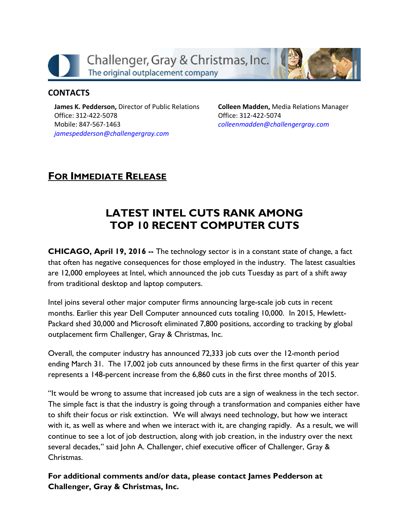

#### **CONTACTS**

James K. Pedderson, Director of Public Relations Office: 312-422-5078 Mobile: 847-567-1463 jamespedderson@challengergray.com

Colleen Madden, Media Relations Manager Office: 312-422-5074 colleenmadden@challengergray.com

## FOR IMMEDIATE RELEASE

# LATEST INTEL CUTS RANK AMONG TOP 10 RECENT COMPUTER CUTS

CHICAGO, April 19, 2016 -- The technology sector is in a constant state of change, a fact that often has negative consequences for those employed in the industry. The latest casualties are 12,000 employees at Intel, which announced the job cuts Tuesday as part of a shift away from traditional desktop and laptop computers.

Intel joins several other major computer firms announcing large-scale job cuts in recent months. Earlier this year Dell Computer announced cuts totaling 10,000. In 2015, Hewlett-Packard shed 30,000 and Microsoft eliminated 7,800 positions, according to tracking by global outplacement firm Challenger, Gray & Christmas, Inc.

Overall, the computer industry has announced 72,333 job cuts over the 12-month period ending March 31. The 17,002 job cuts announced by these firms in the first quarter of this year represents a 148-percent increase from the 6,860 cuts in the first three months of 2015.

"It would be wrong to assume that increased job cuts are a sign of weakness in the tech sector. The simple fact is that the industry is going through a transformation and companies either have to shift their focus or risk extinction. We will always need technology, but how we interact with it, as well as where and when we interact with it, are changing rapidly. As a result, we will continue to see a lot of job destruction, along with job creation, in the industry over the next several decades," said John A. Challenger, chief executive officer of Challenger, Gray & **Christmas** 

For additional comments and/or data, please contact James Pedderson at Challenger, Gray & Christmas, Inc.